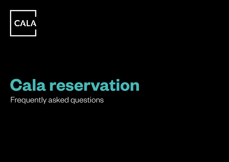

# **Cala reservation**

Frequently asked questions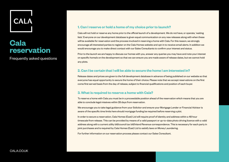

# **Cala reservation**

Frequently asked questions

# **1. Can I reserve or hold a home of my choice prior to launch?**

Cala will not hold or reserve any home prior to the official launch of a development. We do not have, or operate, 'waiting lists'. Everyone on our development database is given equal communication on any new releases along with when these will be available for reservation and the process involved in reserving a home with Cala. For this reason, we strongly encourage all interested parties to register on the Cala Homes website and opt-in to receive email alerts. In addition we would encourage you to make direct contact with our Sales Consultants to confirm your interest and status.

Prior to the launch we are happy to discuss our homes with you, answer any queries you may have and note your interest on specific home/s on the development so that we can ensure you are made aware of release dates, but we cannot hold any plots.

# **2. Can I be certain that I will be able to secure the home I am interested in?**

Release dates and prices are given to the full development database in advance of being published on our website so that everyone has equal opportunity to secure the home of their choice. Please note that we accept reservations on the first come first served basis from the day of release, subject to financial qualifications and position of each buyer.

# **3. What is required to reserve a home with Cala?**

To reserve a home with Cala you must be in a proceedable position ahead of the reservation which means that you are able to conclude legal missives within 28 days from reservation.

We encourage you to take legal guidance from your Solicitor and ensure your Mortgage Lender or Financial Advisor is aware of the specific time limits here should mortgage funding be required before reserving a plot.

In order to secure a reservation, Cala Homes (East) Ltd will require proof of identity and address within a 48 hour timescale from release. This can be provided by means of a valid passport or up-to-date photo driving licence with a valid address along with a current utility bill/council tax bill/Inland Revenue correspondence. This is necessary for each party in joint purchases and is required by Cala Homes (East) Ltd to satisfy laws on Money Laundering.

For further information on our reservation process please contact our Sales Consultant.